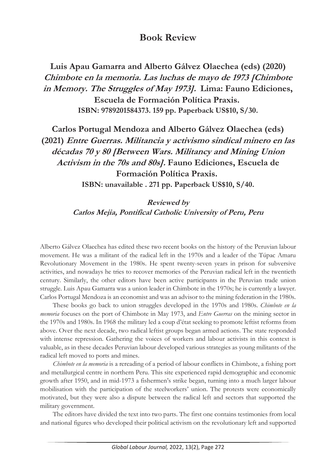## **Book Review**

**Luis Apau Gamarra and Alberto Gálvez Olaechea (eds) (2020) Chimbote en la memoria. Las luchas de mayo de 1973 [Chimbote in Memory. The Struggles of May 1973]. Lima: Fauno Ediciones, Escuela de Formación Política Praxis. ISBN: 9789201584373. 159 pp. Paperback US\$10, S/30.** 

**Carlos Portugal Mendoza and Alberto Gálvez Olaechea (eds) (2021) Entre Guerras. Militancia y activismo sindical minero en las décadas 70 y 80 [Between Wars. Militancy and Mining Union Activism in the 70s and 80s]. Fauno Ediciones, Escuela de Formación Política Praxis. ISBN: unavailable . 271 pp. Paperback US\$10, S/40.** 

> **Reviewed by Carlos Mejia, Pontifical Catholic University of Peru, Peru**

Alberto Gálvez Olaechea has edited these two recent books on the history of the Peruvian labour movement. He was a militant of the radical left in the 1970s and a leader of the Túpac Amaru Revolutionary Movement in the 1980s. He spent twenty-seven years in prison for subversive activities, and nowadays he tries to recover memories of the Peruvian radical left in the twentieth century. Similarly, the other editors have been active participants in the Peruvian trade union struggle. Luis Apau Gamarra was a union leader in Chimbote in the 1970s; he is currently a lawyer. Carlos Portugal Mendoza is an economist and was an advisor to the mining federation in the 1980s.

These books go back to union struggles developed in the 1970s and 1980s. *Chimbote en la memoria* focuses on the port of Chimbote in May 1973, and *Entre Guerras* on the mining sector in the 1970s and 1980s. In 1968 the military led a coup d'état seeking to promote leftist reforms from above. Over the next decade, two radical leftist groups began armed actions. The state responded with intense repression. Gathering the voices of workers and labour activists in this context is valuable, as in these decades Peruvian labour developed various strategies as young militants of the radical left moved to ports and mines.

*Chimbote en la memoria* is a rereading of a period of labour conflicts in Chimbote, a fishing port and metallurgical centre in northern Peru. This site experienced rapid demographic and economic growth after 1950, and in mid-1973 a fishermen's strike began, turning into a much larger labour mobilisation with the participation of the steelworkers' union. The protests were economically motivated, but they were also a dispute between the radical left and sectors that supported the military government.

The editors have divided the text into two parts. The first one contains testimonies from local and national figures who developed their political activism on the revolutionary left and supported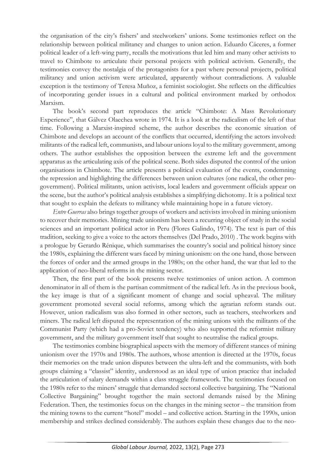the organisation of the city's fishers' and steelworkers' unions. Some testimonies reflect on the relationship between political militancy and changes to union action. Eduardo Cáceres, a former political leader of a left-wing party, recalls the motivations that led him and many other activists to travel to Chimbote to articulate their personal projects with political activism. Generally, the testimonies convey the nostalgia of the protagonists for a past where personal projects, political militancy and union activism were articulated, apparently without contradictions. A valuable exception is the testimony of Teresa Muñoz, a feminist sociologist. She reflects on the difficulties of incorporating gender issues in a cultural and political environment marked by orthodox Marxism.

The book's second part reproduces the article "Chimbote: A Mass Revolutionary Experience", that Gálvez Olaechea wrote in 1974. It is a look at the radicalism of the left of that time. Following a Marxist-inspired scheme, the author describes the economic situation of Chimbote and develops an account of the conflicts that occurred, identifying the actors involved: militants of the radical left, communists, and labour unions loyal to the military government, among others. The author establishes the opposition between the extreme left and the government apparatus as the articulating axis of the political scene. Both sides disputed the control of the union organisations in Chimbote. The article presents a political evaluation of the events, condemning the repression and highlighting the differences between union cultures (one radical, the other progovernment). Political militants, union activists, local leaders and government officials appear on the scene, but the author's political analysis establishes a simplifying dichotomy. It is a political text that sought to explain the defeats to militancy while maintaining hope in a future victory.

*Entre Guerras* also brings together groups of workers and activists involved in mining unionism to recover their memories. Mining trade unionism has been a recurring object of study in the social sciences and an important political actor in Peru (Flores Galindo, 1974). The text is part of this tradition, seeking to give a voice to the actors themselves (Del Prado, 2010) . The work begins with a prologue by Gerardo Rénique, which summarises the country's social and political history since the 1980s, explaining the different wars faced by mining unionism: on the one hand, those between the forces of order and the armed groups in the 1980s; on the other hand, the war that led to the application of neo-liberal reforms in the mining sector.

Then, the first part of the book presents twelve testimonies of union action. A common denominator in all of them is the partisan commitment of the radical left. As in the previous book, the key image is that of a significant moment of change and social upheaval. The military government promoted several social reforms, among which the agrarian reform stands out. However, union radicalism was also formed in other sectors, such as teachers, steelworkers and miners. The radical left disputed the representation of the mining unions with the militants of the Communist Party (which had a pro-Soviet tendency) who also supported the reformist military government, and the military government itself that sought to neutralise the radical groups.

The testimonies combine biographical aspects with the memory of different stances of mining unionism over the 1970s and 1980s. The authors, whose attention is directed at the 1970s, focus their memories on the trade union disputes between the ultra-left and the communists, with both groups claiming a "classist" identity, understood as an ideal type of union practice that included the articulation of salary demands within a class struggle framework. The testimonies focused on the 1980s refer to the miners' struggle that demanded sectoral collective bargaining. The "National Collective Bargaining" brought together the main sectoral demands raised by the Mining Federation. Then, the testimonies focus on the changes in the mining sector – the transition from the mining towns to the current "hotel" model – and collective action. Starting in the 1990s, union membership and strikes declined considerably. The authors explain these changes due to the neo